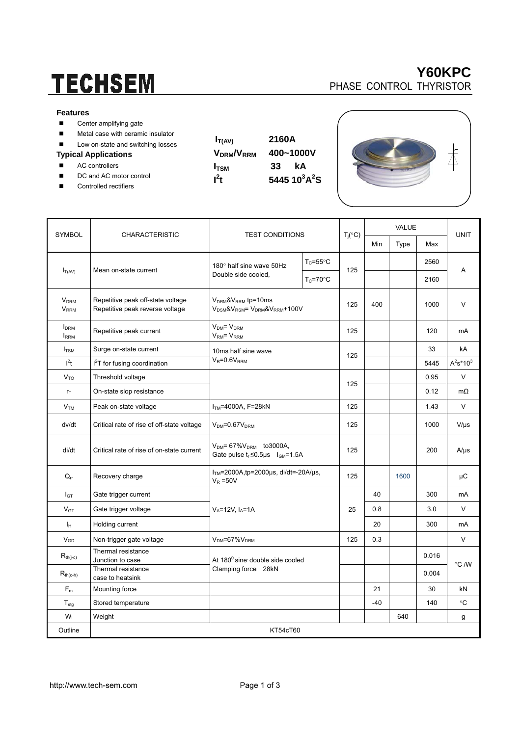# **TECHSEM**

#### **Features**

- Center amplifying gate
- **Metal case with ceramic insulator**
- Low on-state and switching losses

#### **Typical Applications**

- AC controllers
- DC and AC motor control
- Controlled rectifiers

| V <sub>DRM</sub> /V <sub>RRM</sub> |  |
|------------------------------------|--|
| I <sub>tsm</sub>                   |  |
| $l^2t$                             |  |







| <b>SYMBOL</b>                                      | <b>CHARACTERISTIC</b>                                                | <b>TEST CONDITIONS</b>                                                                    |                     |     | VALUE              |      |             |              |             |
|----------------------------------------------------|----------------------------------------------------------------------|-------------------------------------------------------------------------------------------|---------------------|-----|--------------------|------|-------------|--------------|-------------|
|                                                    |                                                                      |                                                                                           |                     |     | $T_j({}^{\circ}C)$ | Min  | <b>Type</b> | Max          | <b>UNIT</b> |
| $I_{T(AV)}$                                        | Mean on-state current                                                | 180° half sine wave 50Hz<br>Double side cooled,                                           | $T_c = 55^{\circ}C$ | 125 |                    |      | 2560        | A            |             |
|                                                    |                                                                      |                                                                                           | $T_c = 70$ °C       |     |                    |      | 2160        |              |             |
| <b>V</b> <sub>DRM</sub><br><b>V</b> <sub>RRM</sub> | Repetitive peak off-state voltage<br>Repetitive peak reverse voltage | $VDRM$ & $VRRM$ tp=10ms<br>$V_{DSM}$ & $V_{RSM}$ = $V_{DRM}$ & $V_{RRM}$ +100V            |                     | 125 | 400                |      | 1000        | $\vee$       |             |
| <b>I</b> <sub>DRM</sub><br><b>IRRM</b>             | Repetitive peak current                                              | $VDM = VDRM$<br>$VRM = VRRM$                                                              |                     | 125 |                    |      | 120         | mA           |             |
| $I_{TSM}$                                          | Surge on-state current                                               | 10ms half sine wave<br>$V_R = 0.6V_{RRM}$                                                 |                     | 125 |                    |      | 33          | kA           |             |
| $l^2t$                                             | I <sup>2</sup> T for fusing coordination                             |                                                                                           |                     |     |                    |      | 5445        | $A^2s^*10^3$ |             |
| V <sub>TO</sub>                                    | Threshold voltage                                                    |                                                                                           |                     |     |                    |      | 0.95        | V            |             |
| $r_{\text{T}}$                                     | On-state slop resistance                                             |                                                                                           | 125                 |     |                    | 0.12 | mΩ          |              |             |
| V <sub>TM</sub>                                    | Peak on-state voltage                                                | $ITM=4000A, F=28kN$                                                                       | 125                 |     |                    | 1.43 | V           |              |             |
| dv/dt                                              | Critical rate of rise of off-state voltage                           | $VDM=0.67VDRM$                                                                            | 125                 |     |                    | 1000 | $V/\mu s$   |              |             |
| di/dt                                              | Critical rate of rise of on-state current                            | $V_{DM}$ = 67% $V_{DRM}$ to 3000A,<br>Gate pulse $t_r \le 0.5$ us $I_{\text{GM}} = 1.5$ A |                     | 125 |                    |      | 200         | $A/\mu s$    |             |
| $Q_{rr}$                                           | Recovery charge                                                      | $ITM=2000A$ , tp=2000µs, di/dt=-20A/µs,<br>$V_R = 50V$                                    | 125                 |     | 1600               |      | μC          |              |             |
| I <sub>GT</sub>                                    | Gate trigger current                                                 |                                                                                           |                     |     | 40                 |      | 300         | mA           |             |
| $V_{GT}$                                           | Gate trigger voltage                                                 | $V_A = 12V$ , $I_A = 1A$                                                                  | 25                  | 0.8 |                    | 3.0  | V           |              |             |
| Iн                                                 | Holding current                                                      |                                                                                           |                     |     | 20                 |      | 300         | mA           |             |
| $V_{GD}$                                           | Non-trigger gate voltage                                             | $V_{DM} = 67\%V_{DRM}$                                                                    |                     | 125 | 0.3                |      |             | $\vee$       |             |
| $R_{th(i-c)}$                                      | Thermal resistance<br>Junction to case                               | At 180 <sup>0</sup> sine double side cooled<br>Clamping force 28kN                        |                     |     |                    |      | 0.016       |              |             |
| $R_{th(c-h)}$                                      | Thermal resistance<br>case to heatsink                               |                                                                                           |                     |     |                    |      | 0.004       | °C /W        |             |
| $F_m$                                              | Mounting force                                                       |                                                                                           |                     |     | 21                 |      | 30          | kN           |             |
| $T_{\text{stg}}$                                   | Stored temperature                                                   |                                                                                           |                     |     | -40                |      | 140         | °C           |             |
| $W_t$                                              | Weight                                                               |                                                                                           |                     |     |                    | 640  |             | g            |             |
| Outline                                            | KT54cT60                                                             |                                                                                           |                     |     |                    |      |             |              |             |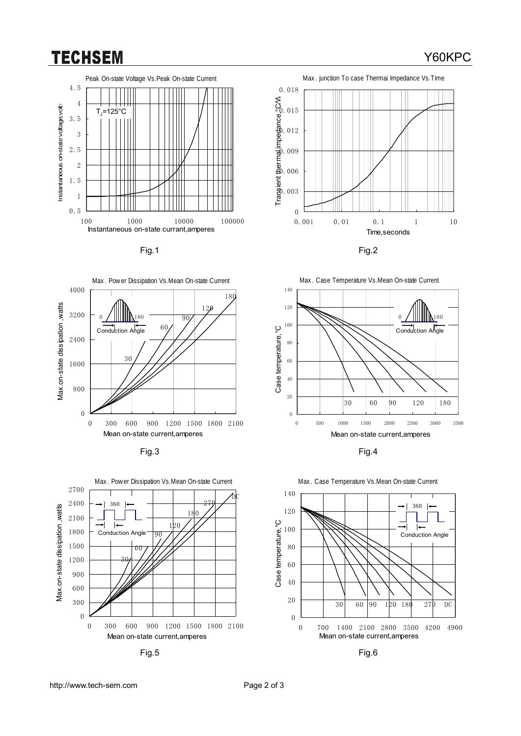### **TECHSEM**





















### Y60KPC